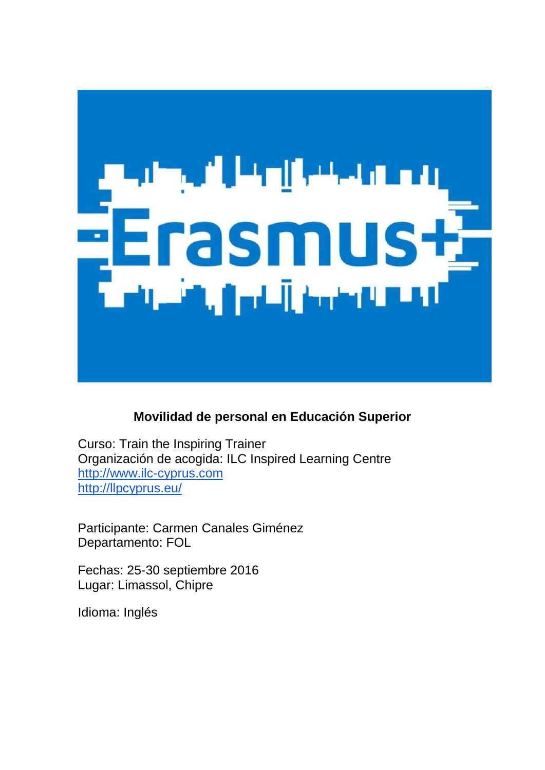

# **Movilidad de personal en Educación Superior**

Curso: Train the Inspiring Trainer Organización de acogida: ILC Inspired Learning Centre [http://www.ilc-cyprus.com](http://www.ilc-cyprus.com/) <http://llpcyprus.eu/>

Participante: Carmen Canales Giménez Departamento: FOL

Fechas: 25-30 septiembre 2016 Lugar: Limassol, Chipre

Idioma: Inglés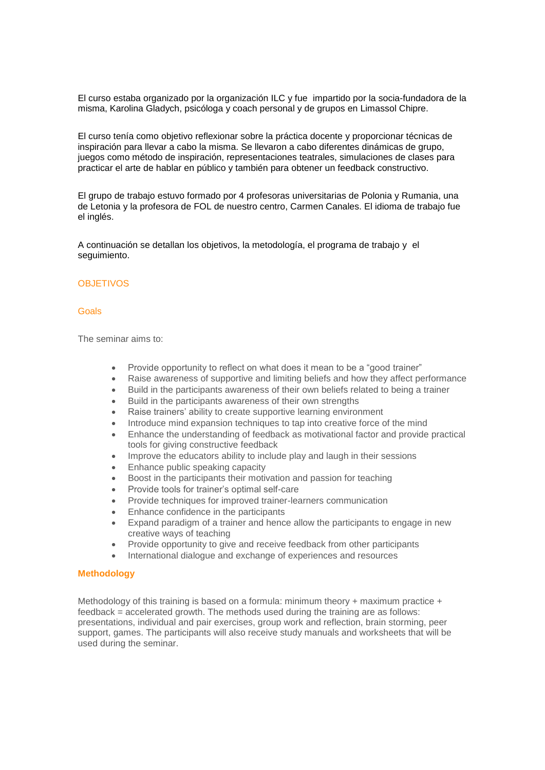El curso estaba organizado por la organización ILC y fue impartido por la socia-fundadora de la misma, Karolina Gladych, psicóloga y coach personal y de grupos en Limassol Chipre.

El curso tenía como objetivo reflexionar sobre la práctica docente y proporcionar técnicas de inspiración para llevar a cabo la misma. Se llevaron a cabo diferentes dinámicas de grupo, juegos como método de inspiración, representaciones teatrales, simulaciones de clases para practicar el arte de hablar en público y también para obtener un feedback constructivo.

El grupo de trabajo estuvo formado por 4 profesoras universitarias de Polonia y Rumania, una de Letonia y la profesora de FOL de nuestro centro, Carmen Canales. El idioma de trabajo fue el inglés.

A continuación se detallan los objetivos, la metodología, el programa de trabajo y el seguimiento.

## **OBJETIVOS**

#### Goals

The seminar aims to:

- Provide opportunity to reflect on what does it mean to be a "good trainer"
- Raise awareness of supportive and limiting beliefs and how they affect performance
- Build in the participants awareness of their own beliefs related to being a trainer
- Build in the participants awareness of their own strengths
- Raise trainers' ability to create supportive learning environment
- Introduce mind expansion techniques to tap into creative force of the mind
- Enhance the understanding of feedback as motivational factor and provide practical tools for giving constructive feedback
- Improve the educators ability to include play and laugh in their sessions
- Enhance public speaking capacity
- Boost in the participants their motivation and passion for teaching
- Provide tools for trainer's optimal self-care
- Provide techniques for improved trainer-learners communication
- Enhance confidence in the participants
- Expand paradigm of a trainer and hence allow the participants to engage in new creative ways of teaching
- Provide opportunity to give and receive feedback from other participants
- International dialogue and exchange of experiences and resources

#### **Methodology**

Methodology of this training is based on a formula: minimum theory  $+$  maximum practice  $+$ feedback = accelerated growth. The methods used during the training are as follows: presentations, individual and pair exercises, group work and reflection, brain storming, peer support, games. The participants will also receive study manuals and worksheets that will be used during the seminar.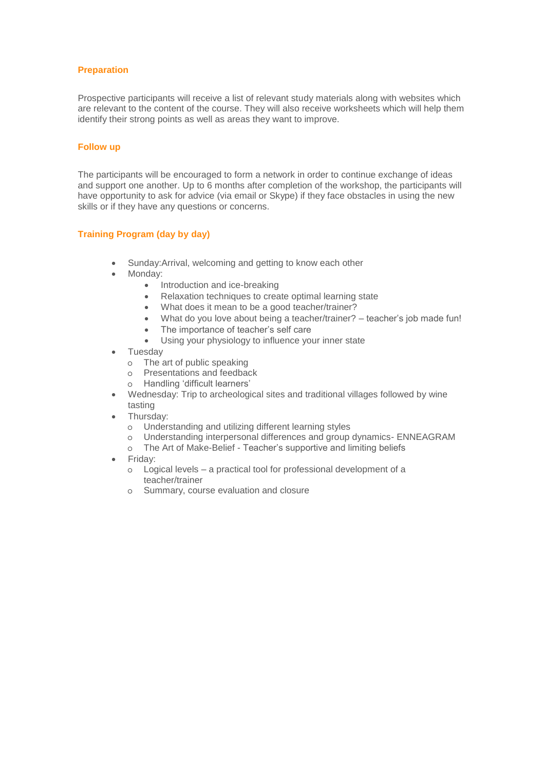# **Preparation**

Prospective participants will receive a list of relevant study materials along with websites which are relevant to the content of the course. They will also receive worksheets which will help them identify their strong points as well as areas they want to improve.

## **Follow up**

The participants will be encouraged to form a network in order to continue exchange of ideas and support one another. Up to 6 months after completion of the workshop, the participants will have opportunity to ask for advice (via email or Skype) if they face obstacles in using the new skills or if they have any questions or concerns.

# **Training Program (day by day)**

- Sunday:Arrival, welcoming and getting to know each other
- Monday:
	- Introduction and ice-breaking
	- Relaxation techniques to create optimal learning state
	- What does it mean to be a good teacher/trainer?
	- What do you love about being a teacher/trainer? teacher's job made fun!
	- The importance of teacher's self care
	- Using your physiology to influence your inner state
- **Tuesday** 
	- o The art of public speaking
	- o Presentations and feedback
	- o Handling 'difficult learners'
- Wednesday: Trip to archeological sites and traditional villages followed by wine tasting
- Thursday:
	- o Understanding and utilizing different learning styles
	- o Understanding interpersonal differences and group dynamics- ENNEAGRAM
	- o The Art of Make-Belief Teacher's supportive and limiting beliefs
- Friday:
	- o Logical levels a practical tool for professional development of a teacher/trainer
	- o Summary, course evaluation and closure